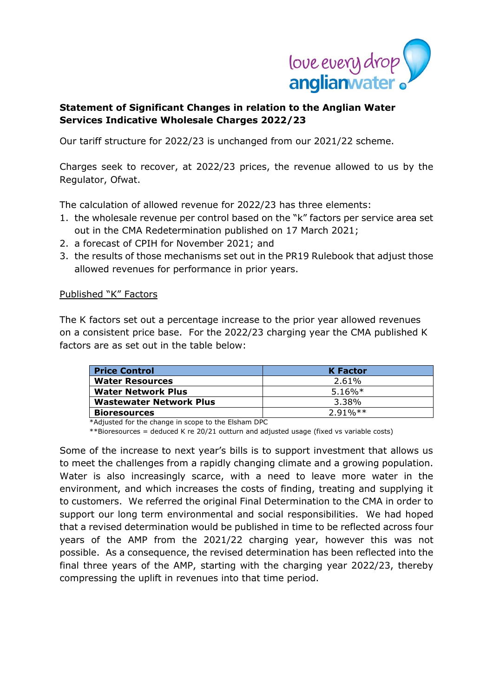

# **Statement of Significant Changes in relation to the Anglian Water Services Indicative Wholesale Charges 2022/23**

Our tariff structure for 2022/23 is unchanged from our 2021/22 scheme.

Charges seek to recover, at 2022/23 prices, the revenue allowed to us by the Regulator, Ofwat.

The calculation of allowed revenue for 2022/23 has three elements:

- 1. the wholesale revenue per control based on the "k" factors per service area set out in the CMA Redetermination published on 17 March 2021;
- 2. a forecast of CPIH for November 2021; and
- 3. the results of those mechanisms set out in the PR19 Rulebook that adjust those allowed revenues for performance in prior years.

### Published "K" Factors

The K factors set out a percentage increase to the prior year allowed revenues on a consistent price base. For the 2022/23 charging year the CMA published K factors are as set out in the table below:

| <b>Price Control</b>           | <b>K</b> Factor |
|--------------------------------|-----------------|
| <b>Water Resources</b>         | 2.61%           |
| <b>Water Network Plus</b>      | $5.16\%*$       |
| <b>Wastewater Network Plus</b> | 3.38%           |
| <b>Bioresources</b>            | $291\%**$       |

\*Adjusted for the change in scope to the Elsham DPC

\*\*Bioresources = deduced K re 20/21 outturn and adjusted usage (fixed vs variable costs)

Some of the increase to next year's bills is to support investment that allows us to meet the challenges from a rapidly changing climate and a growing population. Water is also increasingly scarce, with a need to leave more water in the environment, and which increases the costs of finding, treating and supplying it to customers. We referred the original Final Determination to the CMA in order to support our long term environmental and social responsibilities. We had hoped that a revised determination would be published in time to be reflected across four years of the AMP from the 2021/22 charging year, however this was not possible. As a consequence, the revised determination has been reflected into the final three years of the AMP, starting with the charging year 2022/23, thereby compressing the uplift in revenues into that time period.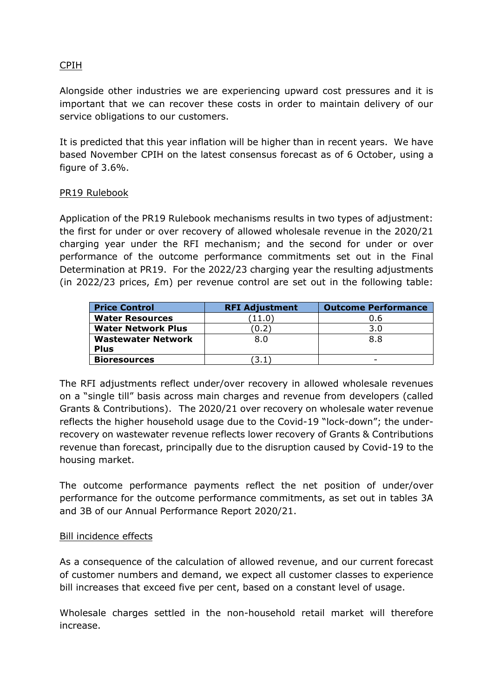# CPIH

Alongside other industries we are experiencing upward cost pressures and it is important that we can recover these costs in order to maintain delivery of our service obligations to our customers.

It is predicted that this year inflation will be higher than in recent years. We have based November CPIH on the latest consensus forecast as of 6 October, using a figure of 3.6%.

### PR19 Rulebook

Application of the PR19 Rulebook mechanisms results in two types of adjustment: the first for under or over recovery of allowed wholesale revenue in the 2020/21 charging year under the RFI mechanism; and the second for under or over performance of the outcome performance commitments set out in the Final Determination at PR19. For the 2022/23 charging year the resulting adjustments (in 2022/23 prices, £m) per revenue control are set out in the following table:

| <b>Price Control</b>      | <b>RFI Adjustment</b> | <b>Outcome Performance</b> |
|---------------------------|-----------------------|----------------------------|
| <b>Water Resources</b>    | $\left(11.0\right)$   | 0.6                        |
| <b>Water Network Plus</b> | 0.2                   | 3.0                        |
| <b>Wastewater Network</b> | 8.0                   | 8.8                        |
| <b>Plus</b>               |                       |                            |
| <b>Bioresources</b>       | 3.1                   |                            |

The RFI adjustments reflect under/over recovery in allowed wholesale revenues on a "single till" basis across main charges and revenue from developers (called Grants & Contributions). The 2020/21 over recovery on wholesale water revenue reflects the higher household usage due to the Covid-19 "lock-down"; the underrecovery on wastewater revenue reflects lower recovery of Grants & Contributions revenue than forecast, principally due to the disruption caused by Covid-19 to the housing market.

The outcome performance payments reflect the net position of under/over performance for the outcome performance commitments, as set out in tables 3A and 3B of our Annual Performance Report 2020/21.

## Bill incidence effects

As a consequence of the calculation of allowed revenue, and our current forecast of customer numbers and demand, we expect all customer classes to experience bill increases that exceed five per cent, based on a constant level of usage.

Wholesale charges settled in the non-household retail market will therefore increase.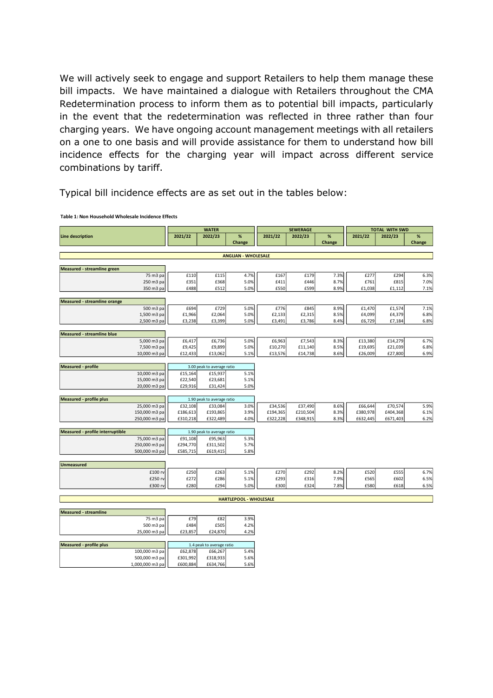We will actively seek to engage and support Retailers to help them manage these bill impacts. We have maintained a dialogue with Retailers throughout the CMA Redetermination process to inform them as to potential bill impacts, particularly in the event that the redetermination was reflected in three rather than four charging years. We have ongoing account management meetings with all retailers on a one to one basis and will provide assistance for them to understand how bill incidence effects for the charging year will impact across different service combinations by tariff.

Typical bill incidence effects are as set out in the tables below:

100,000 m3 pa <br>
500,000 m3 pa <br>  $f = 501,992$   $f = 318,933$   $f = 66,267$  5.6%

1,000,000 m3 pa £600,884 £634,766 5.6%

500,000 m3 pa

|                                     |                           |                 | <b>WATER</b>               |                               |          | <b>SEWERAGE</b> |                | <b>TOTAL WITH SWD</b> |          |             |  |  |
|-------------------------------------|---------------------------|-----------------|----------------------------|-------------------------------|----------|-----------------|----------------|-----------------------|----------|-------------|--|--|
| Line description                    |                           | 2021/22         | 2022/23                    | %<br>Change                   | 2021/22  | 2022/23         | $\%$<br>Change | 2021/22               | 2022/23  | %<br>Change |  |  |
|                                     |                           |                 |                            |                               |          |                 |                |                       |          |             |  |  |
|                                     |                           |                 |                            | <b>ANGLIAN - WHOLESALE</b>    |          |                 |                |                       |          |             |  |  |
| Measured - streamline green         |                           |                 |                            |                               |          |                 |                |                       |          |             |  |  |
|                                     | 75 m3 pa                  | £110            | £115                       | 4.7%                          | £167     | £179            | 7.3%           | £277                  | £294     | 6.3%        |  |  |
|                                     | 250 m3 pa                 | £351            | £368                       | 5.0%                          | £411     | £446            | 8.7%           | £761                  | £815     | 7.0%        |  |  |
|                                     | 350 m3 pa                 | £488            | £512                       | 5.0%                          | £550     | £599            | 8.9%           | £1,038                | £1,112   | 7.1%        |  |  |
| <b>Measured - streamline orange</b> |                           |                 |                            |                               |          |                 |                |                       |          |             |  |  |
|                                     | 500 m3 pa                 | £694            | £729                       | 5.0%                          | £776     | £845            | 8.9%           | £1,470                | £1,574   | 7.1%        |  |  |
|                                     | 1,500 m3 pa               | £1,966          | £2,064                     | 5.0%                          | £2,133   | £2,315          | 8.5%           | £4,099                | £4,379   | 6.8%        |  |  |
|                                     | 2,500 m3 pa               | £3,238          | £3,399                     | 5.0%                          | £3,491   | £3,786          | 8.4%           | £6,729                | £7,184   | 6.8%        |  |  |
| <b>Measured - streamline blue</b>   |                           |                 |                            |                               |          |                 |                |                       |          |             |  |  |
|                                     | 5,000 m3 pa               | £6,417          | £6,736                     | 5.0%                          | £6,963   | £7,543          | 8.3%           | £13,380               | £14,279  | 6.7%        |  |  |
|                                     | 7,500 m3 pa               | £9,425          | £9,899                     | 5.0%                          | £10,270  | £11,140         | 8.5%           | £19,695               | £21,039  | 6.8%        |  |  |
|                                     | 10,000 m3 pa              | £12,433         | £13,062                    | 5.1%                          | £13,576  | £14,738         | 8.6%           | £26,009               | £27,800  | 6.9%        |  |  |
| <b>Measured - profile</b>           |                           |                 | 3.00 peak to average ratio |                               |          |                 |                |                       |          |             |  |  |
|                                     | 10,000 m3 pa              | £15,164         | £15,937                    | 5.1%                          |          |                 |                |                       |          |             |  |  |
|                                     | 15,000 m3 pa              | £22,540         | £23,681                    | 5.1%                          |          |                 |                |                       |          |             |  |  |
|                                     | 20,000 m3 pa              | £29,916         | £31,424                    | 5.0%                          |          |                 |                |                       |          |             |  |  |
| <b>Measured - profile plus</b>      |                           |                 | 1.90 peak to average ratio |                               |          |                 |                |                       |          |             |  |  |
|                                     | 25,000 m3 pa              | £32,108         | £33,084                    | 3.0%                          | £34,536  | £37,490         | 8.6%           | £66,644               | £70,574  | 5.9%        |  |  |
|                                     | 150,000 m3 pa             | £186,613        | £193,865                   | 3.9%                          | £194,365 | £210,504        | 8.3%           | £380,978              | £404,368 | 6.1%        |  |  |
|                                     | 250,000 m3 pa             | £310,218        | £322,489                   | 4.0%                          | £322,228 | £348,915        | 8.3%           | £632,445              | £671,403 | 6.2%        |  |  |
| Measured - profile interruptible    |                           |                 | 1.90 peak to average ratio |                               |          |                 |                |                       |          |             |  |  |
|                                     | 75,000 m3 pa              | £91,108         | £95,963                    | 5.3%                          |          |                 |                |                       |          |             |  |  |
|                                     | 250,000 m3 pa             | £294,770        | £311,502                   | 5.7%                          |          |                 |                |                       |          |             |  |  |
|                                     | 500,000 m3 pa             | £585,715        | £619,415                   | 5.8%                          |          |                 |                |                       |          |             |  |  |
| <b>Unmeasured</b>                   |                           |                 |                            |                               |          |                 |                |                       |          |             |  |  |
|                                     | £100 rv                   | £250            | £263                       | 5.1%                          | £270     | £292            | 8.2%           | £520                  | £555     | 6.7%        |  |  |
|                                     | £250 rv                   | £272            | £286                       | 5.1%                          | £293     | £316            | 7.9%           | £565                  | £602     | 6.5%        |  |  |
|                                     | £300 n                    | £280            | £294                       | 5.0%                          | £300     | £324            | 7.8%           | £580                  | £618     | 6.5%        |  |  |
|                                     |                           |                 |                            | <b>HARTLEPOOL - WHOLESALE</b> |          |                 |                |                       |          |             |  |  |
|                                     |                           |                 |                            |                               |          |                 |                |                       |          |             |  |  |
| <b>Measured - streamline</b>        |                           |                 |                            |                               |          |                 |                |                       |          |             |  |  |
|                                     | 75 m3 pa                  | £79             | £82                        | 3.9%                          |          |                 |                |                       |          |             |  |  |
|                                     | 500 m3 pa<br>25,000 m3 pa | £484<br>£23,857 | £505<br>£24,870            | 4.2%<br>4.2%                  |          |                 |                |                       |          |             |  |  |
|                                     |                           |                 |                            |                               |          |                 |                |                       |          |             |  |  |
| Measured - profile plus             |                           |                 | 1.4 peak to average ratio  |                               |          |                 |                |                       |          |             |  |  |

**Table 1: Non Household Wholesale Incidence Effects**